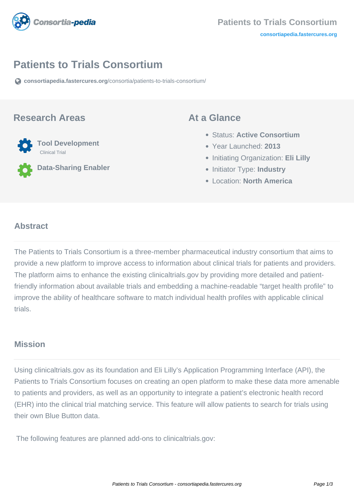

# **Patients to Trials Consortium**

**[consortiapedia.fastercures.org](https://consortiapedia.fastercures.org/consortia/patients-to-trials-consortium/)**[/consortia/patients-to-trials-consortium/](https://consortiapedia.fastercures.org/consortia/patients-to-trials-consortium/)

#### **Research Areas**



**Data-Sharing Enabler**

#### **At a Glance**

- Status: **Active Consortium**
- Year Launched: **2013**
- **Initiating Organization: Eli Lilly**
- **Initiator Type: Industry**
- Location: **North America**

#### $\overline{a}$ **Abstract**

The Patients to Trials Consortium is a three-member pharmaceutical industry consortium that aims to provide a new platform to improve access to information about clinical trials for patients and providers. The platform aims to enhance the existing clinicaltrials.gov by providing more detailed and patientfriendly information about available trials and embedding a machine-readable "target health profile" to improve the ability of healthcare software to match individual health profiles with applicable clinical trials.

### **Mission**

Using clinicaltrials.gov as its foundation and Eli Lilly's Application Programming Interface (API), the Patients to Trials Consortium focuses on creating an open platform to make these data more amenable to patients and providers, as well as an opportunity to integrate a patient's electronic health record (EHR) into the clinical trial matching service. This feature will allow patients to search for trials using their own Blue Button data.

The following features are planned add-ons to clinicaltrials.gov: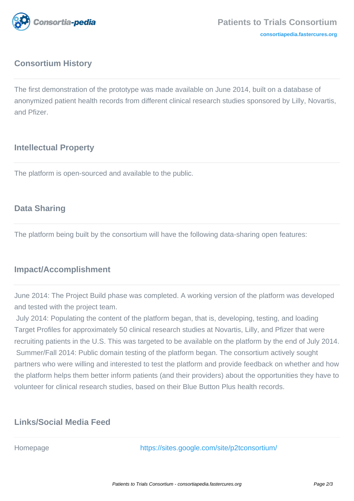

# **Consortium History**

The first demonstration of the prototype was made available on June 2014, built on a database of anonymized patient health records from different clinical research studies sponsored by Lilly, Novartis, and Pfizer.

# **Intellectual Property**

The platform is open-sourced and available to the public.

# **Data Sharing**

The platform being built by the consortium will have the following data-sharing open features:

# **Impact/Accomplishment**

June 2014: The Project Build phase was completed. A working version of the platform was developed and tested with the project team.

 July 2014: Populating the content of the platform began, that is, developing, testing, and loading Target Profiles for approximately 50 clinical research studies at Novartis, Lilly, and Pfizer that were recruiting patients in the U.S. This was targeted to be available on the platform by the end of July 2014. Summer/Fall 2014: Public domain testing of the platform began. The consortium actively sought partners who were willing and interested to test the platform and provide feedback on whether and how the platform helps them better inform patients (and their providers) about the opportunities they have to volunteer for clinical research studies, based on their Blue Button Plus health records.

# **Links/Social Media Feed**

Homepage <https://sites.google.com/site/p2tconsortium/>